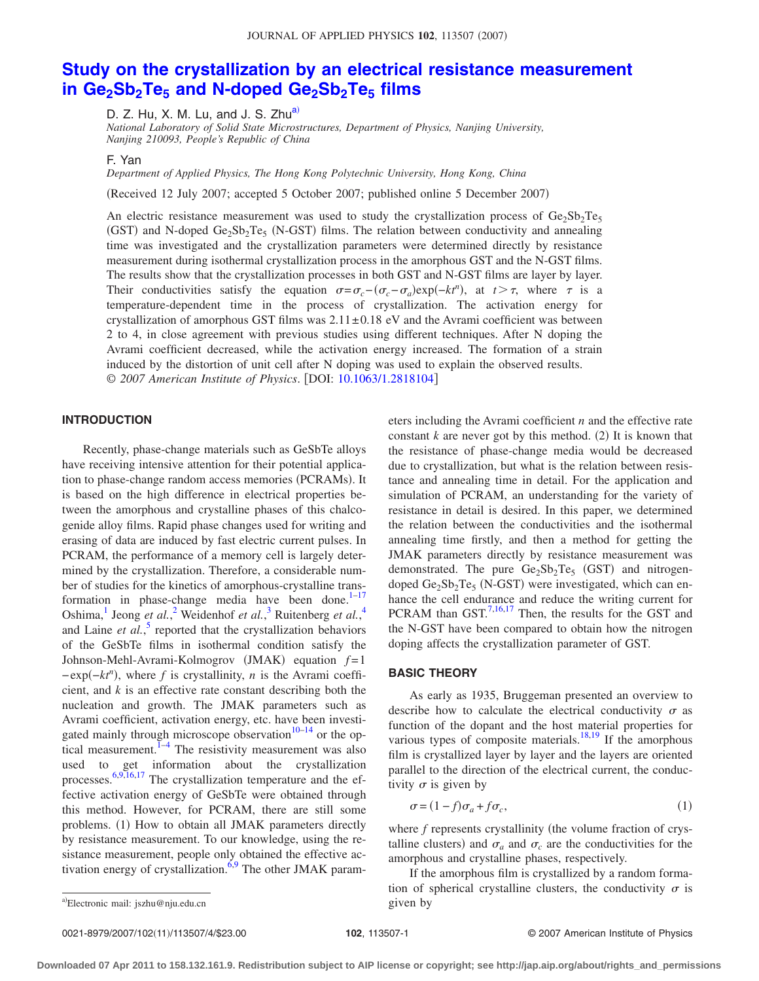# **[Study on the crystallization by an electrical resistance measurement](http://dx.doi.org/10.1063/1.2818104)** in Ge<sub>2</sub>Sb<sub>2</sub>Te<sub>5</sub> and N-doped Ge<sub>2</sub>Sb<sub>2</sub>Te<sub>5</sub> films

D. Z. Hu, X. M. Lu, and J. S. Zhu<sup>a)</sup>

*National Laboratory of Solid State Microstructures, Department of Physics, Nanjing University, Nanjing 210093, People's Republic of China*

F. Yan

*Department of Applied Physics, The Hong Kong Polytechnic University, Hong Kong, China*

Received 12 July 2007; accepted 5 October 2007; published online 5 December 2007-

An electric resistance measurement was used to study the crystallization process of  $Ge_2Sb_2Te_5$ (GST) and N-doped  $Ge_2Sb_2Te_5$  (N-GST) films. The relation between conductivity and annealing time was investigated and the crystallization parameters were determined directly by resistance measurement during isothermal crystallization process in the amorphous GST and the N-GST films. The results show that the crystallization processes in both GST and N-GST films are layer by layer. Their conductivities satisfy the equation  $\sigma = \sigma_c - (\sigma_c - \sigma_a) \exp(-kt^n)$ , at  $t > \tau$ , where  $\tau$  is a temperature-dependent time in the process of crystallization. The activation energy for crystallization of amorphous GST films was  $2.11 \pm 0.18$  eV and the Avrami coefficient was between 2 to 4, in close agreement with previous studies using different techniques. After N doping the Avrami coefficient decreased, while the activation energy increased. The formation of a strain induced by the distortion of unit cell after N doping was used to explain the observed results. © *2007 American Institute of Physics*. DOI: [10.1063/1.2818104](http://dx.doi.org/10.1063/1.2818104)

## **INTRODUCTION**

Recently, phase-change materials such as GeSbTe alloys have receiving intensive attention for their potential application to phase-change random access memories (PCRAMs). It is based on the high difference in electrical properties between the amorphous and crystalline phases of this chalcogenide alloy films. Rapid phase changes used for writing and erasing of data are induced by fast electric current pulses. In PCRAM, the performance of a memory cell is largely determined by the crystallization. Therefore, a considerable number of studies for the kinetics of amorphous-crystalline transformation in phase-change media have been done. $1-17$  $1-17$ Oshima,<sup>1</sup> Jeong *et al.*,<sup>[2](#page-3-2)</sup> Weidenhof *et al.*,<sup>[3](#page-3-3)</sup> Ruitenberg *et al.*,<sup>[4](#page-3-4)</sup> and Laine *et al.*, [5](#page-3-5) reported that the crystallization behaviors of the GeSbTe films in isothermal condition satisfy the Johnson-Mehl-Avrami-Kolmogrov (JMAK) equation  $f=1$ −exp−*kt<sup>n</sup>* -, where *f* is crystallinity, *n* is the Avrami coefficient, and *k* is an effective rate constant describing both the nucleation and growth. The JMAK parameters such as Avrami coefficient, activation energy, etc. have been investigated mainly through microscope observation $10-14$  $10-14$  or the optical measurement. $1-4$  $1-4$  The resistivity measurement was also used to get information about the crystallization processes.<sup>[6](#page-3-8)[,9,](#page-3-9)[16](#page-3-10)[,17](#page-3-1)</sup> The crystallization temperature and the effective activation energy of GeSbTe were obtained through this method. However, for PCRAM, there are still some problems. (1) How to obtain all JMAK parameters directly by resistance measurement. To our knowledge, using the resistance measurement, people only obtained the effective ac-tivation energy of crystallization.<sup>6[,9](#page-3-9)</sup> The other JMAK parameters including the Avrami coefficient *n* and the effective rate constant  $k$  are never got by this method. (2) It is known that the resistance of phase-change media would be decreased due to crystallization, but what is the relation between resistance and annealing time in detail. For the application and simulation of PCRAM, an understanding for the variety of resistance in detail is desired. In this paper, we determined the relation between the conductivities and the isothermal annealing time firstly, and then a method for getting the JMAK parameters directly by resistance measurement was demonstrated. The pure  $Ge_2Sb_2Te_5$  (GST) and nitrogendoped  $Ge_2Sb_2Te_5$  (N-GST) were investigated, which can enhance the cell endurance and reduce the writing current for PCRAM than GST. $^{7,16,17}$  $^{7,16,17}$  $^{7,16,17}$  $^{7,16,17}$  Then, the results for the GST and the N-GST have been compared to obtain how the nitrogen doping affects the crystallization parameter of GST.

### **BASIC THEORY**

As early as 1935, Bruggeman presented an overview to describe how to calculate the electrical conductivity  $\sigma$  as function of the dopant and the host material properties for various types of composite materials. $^{18,19}$  $^{18,19}$  $^{18,19}$  If the amorphous film is crystallized layer by layer and the layers are oriented parallel to the direction of the electrical current, the conductivity  $\sigma$  is given by

$$
\sigma = (1 - f)\sigma_a + f\sigma_c,\tag{1}
$$

<span id="page-0-1"></span>where *f* represents crystallinity (the volume fraction of crystalline clusters) and  $\sigma_a$  and  $\sigma_c$  are the conductivities for the amorphous and crystalline phases, respectively.

If the amorphous film is crystallized by a random formation of spherical crystalline clusters, the conductivity  $\sigma$  is

<span id="page-0-0"></span>given by <sup>a</sup>- Electronic mail: jszhu@nju.edu.cn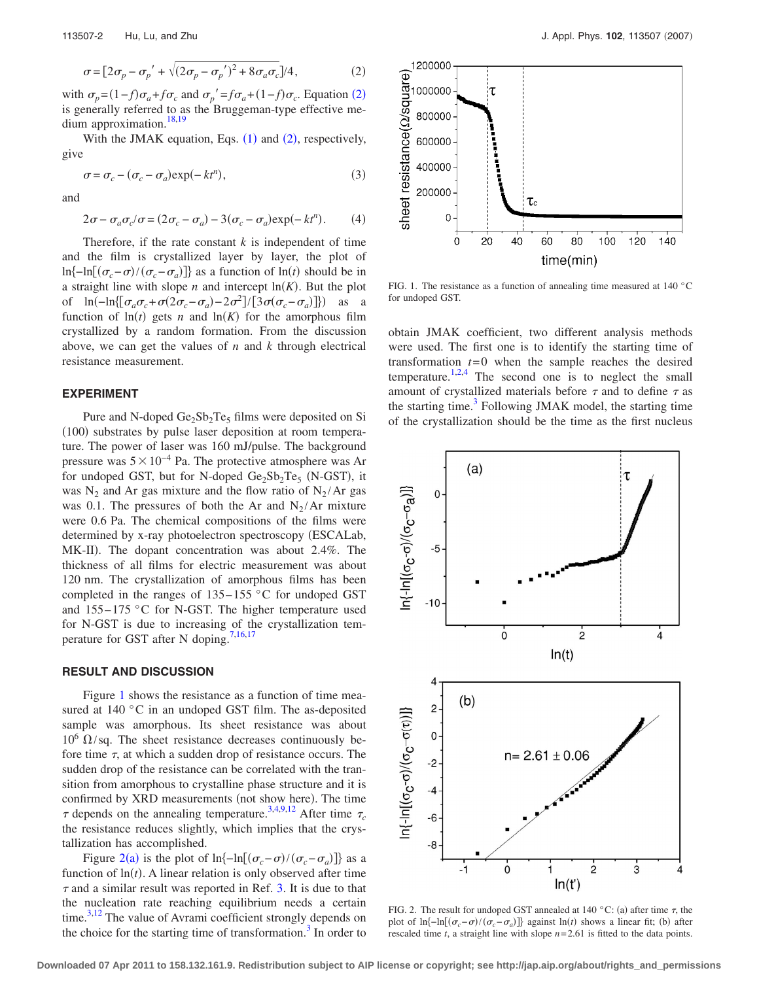<span id="page-1-0"></span>

$$
\sigma = \left[2\sigma_p - \sigma_p' + \sqrt{(2\sigma_p - \sigma_p')^2 + 8\sigma_a \sigma_c}\right]/4,\tag{2}
$$

with  $\sigma_p = (1 - f)\sigma_a + f\sigma_c$  and  $\sigma_p' = f\sigma_a + (1 - f)\sigma_c$ . Equation ([2](#page-1-0)) is generally referred to as the Bruggeman-type effective me-dium approximation.<sup>18,[19](#page-3-13)</sup>

With the JMAK equation, Eqs.  $(1)$  $(1)$  $(1)$  and  $(2)$  $(2)$  $(2)$ , respectively, give

$$
\sigma = \sigma_c - (\sigma_c - \sigma_a) \exp(-kt^n), \tag{3}
$$

<span id="page-1-3"></span>and

$$
2\sigma - \sigma_a \sigma_c / \sigma = (2\sigma_c - \sigma_a) - 3(\sigma_c - \sigma_a) \exp(-kt^n). \tag{4}
$$

Therefore, if the rate constant  $k$  is independent of time and the film is crystallized layer by layer, the plot of ln{-ln[ $(\sigma_c - \sigma) / (\sigma_c - \sigma_a)$ ]} as a function of ln(*t*) should be in a straight line with slope *n* and intercept  $ln(K)$ . But the plot of ln(-ln{[ $\sigma_a \sigma_c + \sigma(2\sigma_c - \sigma_a) - 2\sigma^2$ ]/[3 $\sigma(\sigma_c - \sigma_a)$ ]}) as a function of  $ln(t)$  gets *n* and  $ln(K)$  for the amorphous film crystallized by a random formation. From the discussion above, we can get the values of *n* and *k* through electrical resistance measurement.

## **EXPERIMENT**

Pure and N-doped  $Ge_2Sb_2Te_5$  films were deposited on Si (100) substrates by pulse laser deposition at room temperature. The power of laser was 160 mJ/pulse. The background pressure was  $5 \times 10^{-4}$  Pa. The protective atmosphere was Ar for undoped GST, but for N-doped  $Ge_2Sb_2Te_5$  (N-GST), it was  $N_2$  and Ar gas mixture and the flow ratio of  $N_2/Ar$  gas was 0.1. The pressures of both the Ar and  $N_2/Ar$  mixture were 0.6 Pa. The chemical compositions of the films were determined by x-ray photoelectron spectroscopy (ESCALab, MK-II). The dopant concentration was about 2.4%. The thickness of all films for electric measurement was about 120 nm. The crystallization of amorphous films has been completed in the ranges of  $135-155$  °C for undoped GST and  $155-175$  °C for N-GST. The higher temperature used for N-GST is due to increasing of the crystallization tem-perature for GST after N doping.<sup>7,[16,](#page-3-10)[17](#page-3-1)</sup>

### **RESULT AND DISCUSSION**

Figure [1](#page-1-1) shows the resistance as a function of time measured at 140 °C in an undoped GST film. The as-deposited sample was amorphous. Its sheet resistance was about  $10^6 \Omega$ /sq. The sheet resistance decreases continuously before time  $\tau$ , at which a sudden drop of resistance occurs. The sudden drop of the resistance can be correlated with the transition from amorphous to crystalline phase structure and it is confirmed by XRD measurements (not show here). The time  $\tau$  depends on the annealing temperature.<sup>3,[4,](#page-3-4)[9,](#page-3-9)[12](#page-3-14)</sup> After time  $\tau_c$ the resistance reduces slightly, which implies that the crystallization has accomplished.

Figure [2](#page-1-2)(a) is the plot of  $\ln{\left(-\ln[(\sigma_c-\sigma)/(\sigma_c-\sigma_a)]\right)}$  as a function of  $ln(t)$ . A linear relation is only observed after time  $\tau$  and a similar result was reported in Ref. [3.](#page-3-3) It is due to that the nucleation rate reaching equilibrium needs a certain time. $3,12$  $3,12$  The value of Avrami coefficient strongly depends on the choice for the starting time of transformation.<sup>3</sup> In order to

<span id="page-1-1"></span>

FIG. 1. The resistance as a function of annealing time measured at 140 °C for undoped GST.

obtain JMAK coefficient, two different analysis methods were used. The first one is to identify the starting time of transformation  $t=0$  when the sample reaches the desired temperature.<sup>1,[2](#page-3-2)[,4](#page-3-4)</sup> The second one is to neglect the small amount of crystallized materials before  $\tau$  and to define  $\tau$  as the starting time. $3$  Following JMAK model, the starting time of the crystallization should be the time as the first nucleus

<span id="page-1-2"></span>

FIG. 2. The result for undoped GST annealed at 140 °C: (a) after time  $\tau$ , the plot of  $\ln\{-\ln[(\sigma_c-\sigma)/( \sigma_c-\sigma_a)]\}$  against  $\ln(t)$  shows a linear fit; (b) after rescaled time *t*, a straight line with slope *n*= 2.61 is fitted to the data points.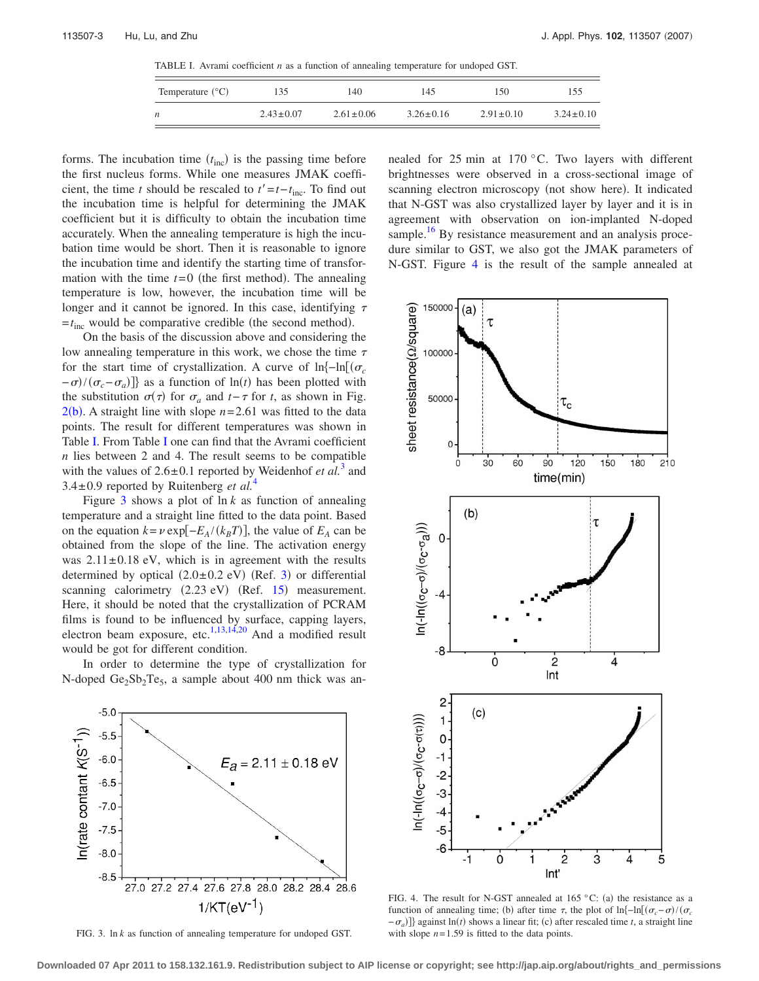TABLE I. Avrami coefficient *n* as a function of annealing temperature for undoped GST.

| Temperature $({}^{\circ}C)$ | 135             | 140             | 145             | 150             | 155             |
|-----------------------------|-----------------|-----------------|-----------------|-----------------|-----------------|
| n                           | $2.43 \pm 0.07$ | $2.61 \pm 0.06$ | $3.26 \pm 0.16$ | $2.91 \pm 0.10$ | $3.24 \pm 0.10$ |

<span id="page-2-0"></span>forms. The incubation time  $(t_{\text{inc}})$  is the passing time before the first nucleus forms. While one measures JMAK coefficient, the time *t* should be rescaled to  $t' = t - t_{inc}$ . To find out the incubation time is helpful for determining the JMAK coefficient but it is difficulty to obtain the incubation time accurately. When the annealing temperature is high the incubation time would be short. Then it is reasonable to ignore the incubation time and identify the starting time of transformation with the time  $t=0$  (the first method). The annealing temperature is low, however, the incubation time will be longer and it cannot be ignored. In this case, identifying  $\tau$  $=t_{\text{inc}}$  would be comparative credible (the second method).

On the basis of the discussion above and considering the low annealing temperature in this work, we chose the time  $\tau$ for the start time of crystallization. A curve of ln $-\ln[(\sigma_c$  $-\sigma$ / $(\sigma_c - \sigma_a)$ } as a function of ln(*t*) has been plotted with the substitution  $\sigma(\tau)$  for  $\sigma_a$  and  $t-\tau$  for *t*, as shown in Fig.  $2(b)$  $2(b)$ . A straight line with slope  $n=2.61$  was fitted to the data points. The result for different temperatures was shown in Table [I.](#page-2-0) From Table [I](#page-2-0) one can find that the Avrami coefficient *n* lies between 2 and 4. The result seems to be compatible with the values of  $2.6 \pm 0.1$  reported by Weidenhof *et al.*<sup>[3](#page-3-3)</sup> and  $3.4 \pm 0.9$  $3.4 \pm 0.9$  $3.4 \pm 0.9$  reported by Ruitenberg *et al.*<sup>4</sup>

Figure [3](#page-2-1) shows a plot of ln *k* as function of annealing temperature and a straight line fitted to the data point. Based on the equation  $k = \nu \exp[-E_A/(k_B T)]$ , the value of  $E_A$  can be obtained from the slope of the line. The activation energy was  $2.11 \pm 0.18$  eV, which is in agreement with the results determined by optical  $(2.0\pm 0.2 \text{ eV})$  (Ref. [3](#page-3-3)) or differential scanning calorimetry  $(2.23 \text{ eV})$   $(Ref. 15)$  $(Ref. 15)$  $(Ref. 15)$  measurement. Here, it should be noted that the crystallization of PCRAM films is found to be influenced by surface, capping layers, electron beam exposure, etc.<sup>1,[13,](#page-3-16)[14,](#page-3-7)[20](#page-3-17)</sup> And a modified result would be got for different condition.

In order to determine the type of crystallization for N-doped  $Ge_2Sb_2Te_5$ , a sample about 400 nm thick was an-

<span id="page-2-1"></span>

FIG. 3. ln *k* as function of annealing temperature for undoped GST.

nealed for 25 min at 170 °C. Two layers with different brightnesses were observed in a cross-sectional image of scanning electron microscopy (not show here). It indicated that N-GST was also crystallized layer by layer and it is in agreement with observation on ion-implanted N-doped sample.<sup>16</sup> By resistance measurement and an analysis procedure similar to GST, we also got the JMAK parameters of N-GST. Figure [4](#page-2-2) is the result of the sample annealed at

<span id="page-2-2"></span>

FIG. 4. The result for N-GST annealed at  $165^{\circ}$ C: (a) the resistance as a function of annealing time; (b) after time  $\tau$ , the plot of ln{-ln[ $(\sigma_c - \sigma)/(\sigma_c)$  $-\sigma_a$ )]} against ln(*t*) shows a linear fit; (c) after rescaled time *t*, a straight line with slope  $n = 1.59$  is fitted to the data points.